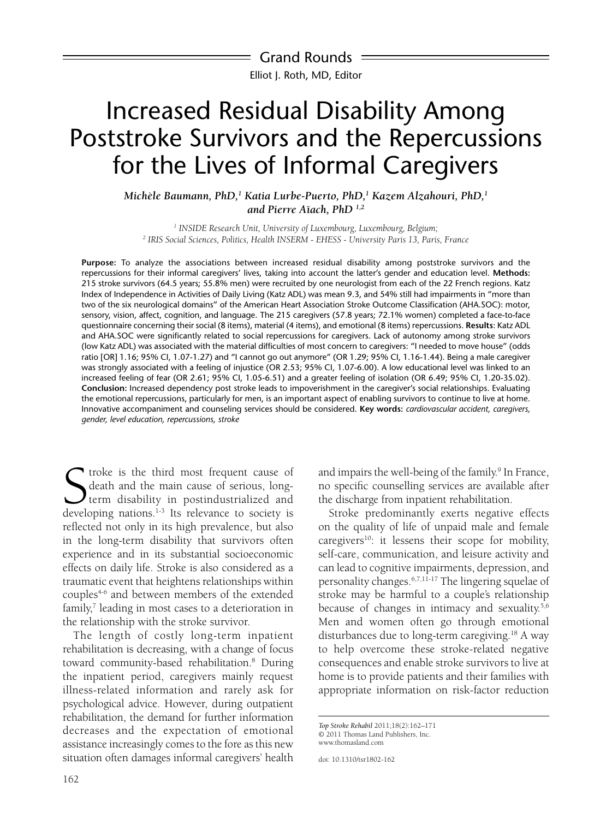Grand Rounds Elliot J. Roth, MD, Editor

# Increased Residual Disability Among Poststroke Survivors and the Repercussions for the Lives of Informal Caregivers

*Michèle Baumann, PhD,1 Katia Lurbe-Puerto, PhD,1 Kazem Alzahouri, PhD,1 and Pierre Aïach, PhD 1,2*

*1 INSIDE Research Unit, University of Luxembourg, Luxembourg, Belgium; 2 IRIS Social Sciences, Politics, Health INSERM - EHESS - University Paris 13, Paris, France*

**Purpose:** To analyze the associations between increased residual disability among poststroke survivors and the repercussions for their informal caregivers' lives, taking into account the latter's gender and education level. **Methods:** 215 stroke survivors (64.5 years; 55.8% men) were recruited by one neurologist from each of the 22 French regions. Katz Index of Independence in Activities of Daily Living (Katz ADL) was mean 9.3, and 54% still had impairments in "more than two of the six neurological domains" of the American Heart Association Stroke Outcome Classification (AHA.SOC): motor, sensory, vision, affect, cognition, and language. The 215 caregivers (57.8 years; 72.1% women) completed a face-to-face questionnaire concerning their social (8 items), material (4 items), and emotional (8 items) repercussions. **Results**: Katz ADL and AHA.SOC were significantly related to social repercussions for caregivers. Lack of autonomy among stroke survivors (low Katz ADL) was associated with the material difficulties of most concern to caregivers: "I needed to move house" (odds ratio [OR] 1.16; 95% CI, 1.07-1.27) and "I cannot go out anymore" (OR 1.29; 95% CI, 1.16-1.44). Being a male caregiver was strongly associated with a feeling of injustice (OR 2.53; 95% CI, 1.07-6.00). A low educational level was linked to an increased feeling of fear (OR 2.61; 95% CI, 1.05-6.51) and a greater feeling of isolation (OR 6.49; 95% CI, 1.20-35.02). **Conclusion:** Increased dependency post stroke leads to impoverishment in the caregiver's social relationships. Evaluating the emotional repercussions, particularly for men, is an important aspect of enabling survivors to continue to live at home. Innovative accompaniment and counseling services should be considered. **Key words:** *cardiovascular accident, caregivers, gender, level education, repercussions, stroke*

S<br>develo troke is the third most frequent cause of death and the main cause of serious, longterm disability in postindustrialized and developing nations.<sup>1-3</sup> Its relevance to society is reflected not only in its high prevalence, but also in the long-term disability that survivors often experience and in its substantial socioeconomic effects on daily life. Stroke is also considered as a traumatic event that heightens relationships within couples4-6 and between members of the extended family,<sup>7</sup> leading in most cases to a deterioration in the relationship with the stroke survivor.

The length of costly long-term inpatient rehabilitation is decreasing, with a change of focus toward community-based rehabilitation.<sup>8</sup> During the inpatient period, caregivers mainly request illness-related information and rarely ask for psychological advice. However, during outpatient rehabilitation, the demand for further information decreases and the expectation of emotional assistance increasingly comes to the fore as this new situation often damages informal caregivers' health

and impairs the well-being of the family.<sup>9</sup> In France, no specific counselling services are available after the discharge from inpatient rehabilitation.

Stroke predominantly exerts negative effects on the quality of life of unpaid male and female caregivers<sup>10</sup>: it lessens their scope for mobility, self-care, communication, and leisure activity and can lead to cognitive impairments, depression, and personality changes.6,7,11-17 The lingering squelae of stroke may be harmful to a couple's relationship because of changes in intimacy and sexuality.<sup>5,6</sup> Men and women often go through emotional disturbances due to long-term caregiving.18 A way to help overcome these stroke-related negative consequences and enable stroke survivors to live at home is to provide patients and their families with appropriate information on risk-factor reduction

*Top Stroke Rehabil* 2011;18(2):162–171 © 2011 Thomas Land Publishers, Inc. www.thomasland.com

doi: 10.1310/tsr1802-162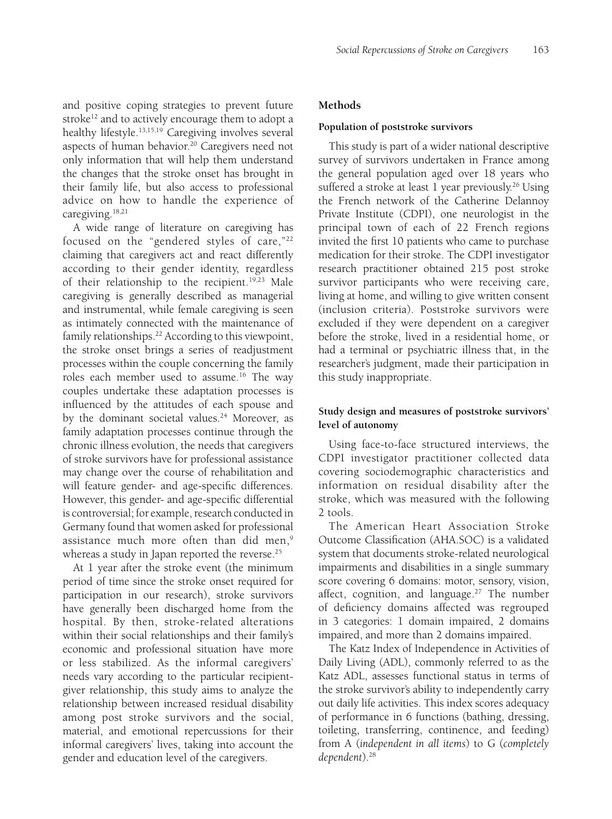and positive coping strategies to prevent future stroke<sup>12</sup> and to actively encourage them to adopt a healthy lifestyle.<sup>13,15,19</sup> Caregiving involves several aspects of human behavior.<sup>20</sup> Caregivers need not only information that will help them understand the changes that the stroke onset has brought in their family life, but also access to professional advice on how to handle the experience of caregiving.<sup>18,21</sup>

A wide range of literature on caregiving has focused on the "gendered styles of care,"22 claiming that caregivers act and react differently according to their gender identity, regardless of their relationship to the recipient.<sup>19,23</sup> Male caregiving is generally described as managerial and instrumental, while female caregiving is seen as intimately connected with the maintenance of family relationships.<sup>22</sup> According to this viewpoint, the stroke onset brings a series of readjustment processes within the couple concerning the family roles each member used to assume.<sup>16</sup> The way couples undertake these adaptation processes is influenced by the attitudes of each spouse and by the dominant societal values.<sup>24</sup> Moreover, as family adaptation processes continue through the chronic illness evolution, the needs that caregivers of stroke survivors have for professional assistance may change over the course of rehabilitation and will feature gender- and age-specific differences. However, this gender- and age-specific differential is controversial; for example, research conducted in Germany found that women asked for professional assistance much more often than did men,<sup>9</sup> whereas a study in Japan reported the reverse. $25$ 

At 1 year after the stroke event (the minimum period of time since the stroke onset required for participation in our research), stroke survivors have generally been discharged home from the hospital. By then, stroke-related alterations within their social relationships and their family's economic and professional situation have more or less stabilized. As the informal caregivers' needs vary according to the particular recipientgiver relationship, this study aims to analyze the relationship between increased residual disability among post stroke survivors and the social, material, and emotional repercussions for their informal caregivers' lives, taking into account the gender and education level of the caregivers.

## **Methods**

#### **Population of poststroke survivors**

This study is part of a wider national descriptive survey of survivors undertaken in France among the general population aged over 18 years who suffered a stroke at least 1 year previously.<sup>26</sup> Using the French network of the Catherine Delannoy Private Institute (CDPI), one neurologist in the principal town of each of 22 French regions invited the first 10 patients who came to purchase medication for their stroke. The CDPI investigator research practitioner obtained 215 post stroke survivor participants who were receiving care, living at home, and willing to give written consent (inclusion criteria). Poststroke survivors were excluded if they were dependent on a caregiver before the stroke, lived in a residential home, or had a terminal or psychiatric illness that, in the researcher's judgment, made their participation in this study inappropriate.

# **Study design and measures of poststroke survivors' level of autonomy**

Using face-to-face structured interviews, the CDPI investigator practitioner collected data covering sociodemographic characteristics and information on residual disability after the stroke, which was measured with the following 2 tools.

The American Heart Association Stroke Outcome Classification (AHA.SOC) is a validated system that documents stroke-related neurological impairments and disabilities in a single summary score covering 6 domains: motor, sensory, vision, affect, cognition, and language.<sup>27</sup> The number of deficiency domains affected was regrouped in 3 categories: 1 domain impaired, 2 domains impaired, and more than 2 domains impaired.

The Katz Index of Independence in Activities of Daily Living (ADL), commonly referred to as the Katz ADL, assesses functional status in terms of the stroke survivor's ability to independently carry out daily life activities. This index scores adequacy of performance in 6 functions (bathing, dressing, toileting, transferring, continence, and feeding) from A (*independent in all items*) to G (*completely dependent*).28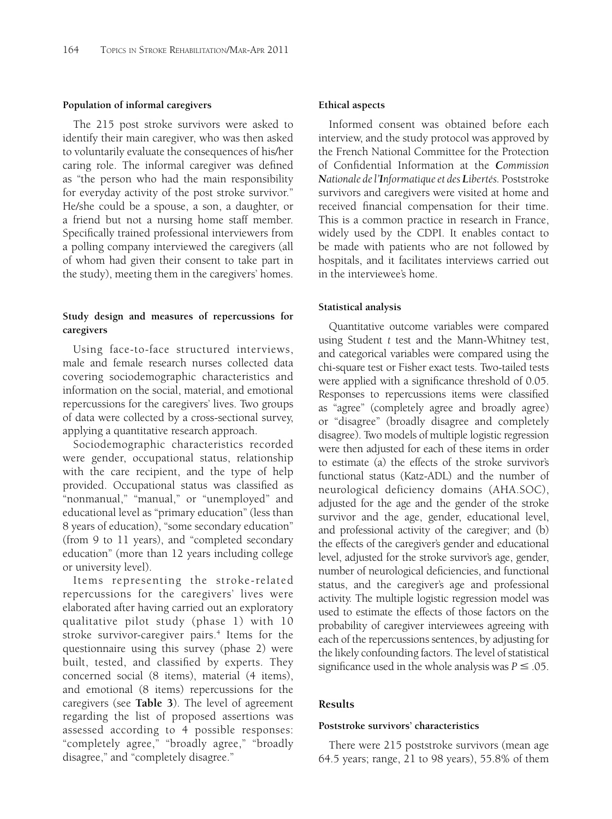## **Population of informal caregivers**

The 215 post stroke survivors were asked to identify their main caregiver, who was then asked to voluntarily evaluate the consequences of his/her caring role. The informal caregiver was defined as "the person who had the main responsibility for everyday activity of the post stroke survivor." He/she could be a spouse, a son, a daughter, or a friend but not a nursing home staff member. Specifically trained professional interviewers from a polling company interviewed the caregivers (all of whom had given their consent to take part in the study), meeting them in the caregivers' homes.

# **Study design and measures of repercussions for caregivers**

Using face-to-face structured interviews, male and female research nurses collected data covering sociodemographic characteristics and information on the social, material, and emotional repercussions for the caregivers' lives. Two groups of data were collected by a cross-sectional survey, applying a quantitative research approach.

Sociodemographic characteristics recorded were gender, occupational status, relationship with the care recipient, and the type of help provided. Occupational status was classified as "nonmanual," "manual," or "unemployed" and educational level as "primary education" (less than 8 years of education), "some secondary education" (from 9 to 11 years), and "completed secondary education" (more than 12 years including college or university level).

Items representing the stroke-related repercussions for the caregivers' lives were elaborated after having carried out an exploratory qualitative pilot study (phase 1) with 10 stroke survivor-caregiver pairs.<sup>4</sup> Items for the questionnaire using this survey (phase 2) were built, tested, and classified by experts. They concerned social (8 items), material (4 items), and emotional (8 items) repercussions for the caregivers (see **Table 3**). The level of agreement regarding the list of proposed assertions was assessed according to 4 possible responses: "completely agree," "broadly agree," "broadly disagree," and "completely disagree."

## **Ethical aspects**

Informed consent was obtained before each interview, and the study protocol was approved by the French National Committee for the Protection of Confidential Information at the *Commission Nationale de l'Informatique et des Libertés.* Poststroke survivors and caregivers were visited at home and received financial compensation for their time. This is a common practice in research in France, widely used by the CDPI. It enables contact to be made with patients who are not followed by hospitals, and it facilitates interviews carried out in the interviewee's home.

## **Statistical analysis**

Quantitative outcome variables were compared using Student *t* test and the Mann-Whitney test, and categorical variables were compared using the chi-square test or Fisher exact tests. Two-tailed tests were applied with a significance threshold of 0.05. Responses to repercussions items were classified as "agree" (completely agree and broadly agree) or "disagree" (broadly disagree and completely disagree). Two models of multiple logistic regression were then adjusted for each of these items in order to estimate (a) the effects of the stroke survivor's functional status (Katz-ADL) and the number of neurological deficiency domains (AHA.SOC), adjusted for the age and the gender of the stroke survivor and the age, gender, educational level, and professional activity of the caregiver; and (b) the effects of the caregiver's gender and educational level, adjusted for the stroke survivor's age, gender, number of neurological deficiencies, and functional status, and the caregiver's age and professional activity. The multiple logistic regression model was used to estimate the effects of those factors on the probability of caregiver interviewees agreeing with each of the repercussions sentences, by adjusting for the likely confounding factors. The level of statistical significance used in the whole analysis was  $P \leq .05$ .

## **Results**

#### **Poststroke survivors' characteristics**

There were 215 poststroke survivors (mean age 64.5 years; range, 21 to 98 years), 55.8% of them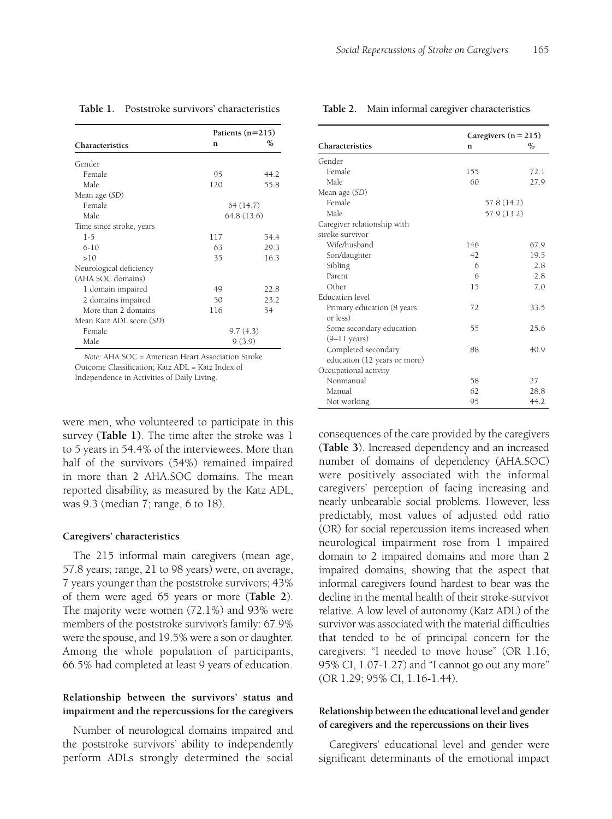| Social Repercussions of Stroke on Caregivers | 165 |
|----------------------------------------------|-----|
|                                              |     |

**Table 2.** Main informal caregiver characteristics

|                          | Patients $(n=215)$ |          |
|--------------------------|--------------------|----------|
| Characteristics          | n                  | ℅        |
| Gender                   |                    |          |
| Female                   | 95                 | 44.2     |
| Male                     | 120                | 55.8     |
| Mean age (SD)            |                    |          |
| Female                   | 64 (14.7)          |          |
| Male.                    | 64.8 (13.6)        |          |
| Time since stroke, years |                    |          |
| $1 - 5$                  | 117                | 54.4     |
| $6 - 10$                 | 63                 | 29.3     |
| >10                      | 35                 | 16.3     |
| Neurological deficiency  |                    |          |
| (AHA.SOC domains)        |                    |          |
| 1 domain impaired        | 49                 | 22.8     |
| 2 domains impaired       | 50                 | 23.2     |
| More than 2 domains      | 116                | 54       |
| Mean Katz ADL score (SD) |                    |          |
| Female                   |                    | 9.7(4.3) |
| Male                     | 9(3.9)             |          |

#### **Table 1.** Poststroke survivors' characteristics

*Note:* AHA.SOC = American Heart Association Stroke Outcome Classification; Katz ADL = Katz Index of Independence in Activities of Daily Living.

were men, who volunteered to participate in this survey (**Table 1)**. The time after the stroke was 1 to 5 years in 54.4% of the interviewees. More than half of the survivors (54%) remained impaired in more than 2 AHA.SOC domains. The mean reported disability, as measured by the Katz ADL, was 9.3 (median 7; range, 6 to 18).

#### **Caregivers' characteristics**

The 215 informal main caregivers (mean age, 57.8 years; range, 21 to 98 years) were, on average, 7 years younger than the poststroke survivors; 43% of them were aged 65 years or more (**Table 2**). The majority were women (72.1%) and 93% were members of the poststroke survivor's family: 67.9% were the spouse, and 19.5% were a son or daughter. Among the whole population of participants, 66.5% had completed at least 9 years of education.

# **Relationship between the survivors' status and impairment and the repercussions for the caregivers**

Number of neurological domains impaired and the poststroke survivors' ability to independently perform ADLs strongly determined the social

|                              |     | Caregivers $(n = 215)$ |  |
|------------------------------|-----|------------------------|--|
| Characteristics              | n   | $\%$                   |  |
|                              |     |                        |  |
| Gender                       |     |                        |  |
| Female                       | 155 | 72.1                   |  |
| Male                         | 60  | 27.9                   |  |
| Mean age (SD)                |     |                        |  |
| Female                       |     | 57.8 (14.2)            |  |
| Male                         |     | 57.9 (13.2)            |  |
| Caregiver relationship with  |     |                        |  |
| stroke survivor              |     |                        |  |
| Wife/husband                 | 146 | 67.9                   |  |
| Son/daughter                 | 42  | 19.5                   |  |
| Sibling                      | 6   | 2.8                    |  |
| Parent                       | 6   | 2.8                    |  |
| Other                        | 15  | 7.0                    |  |
| <b>Education</b> level       |     |                        |  |
| Primary education (8 years   | 72  | 33.5                   |  |
| or less)                     |     |                        |  |
| Some secondary education     | 55  | 25.6                   |  |
| $(9-11 \text{ years})$       |     |                        |  |
| Completed secondary          | 88  | 40.9                   |  |
| education (12 years or more) |     |                        |  |
| Occupational activity        |     |                        |  |
| Nonmanual                    | 58  | 27                     |  |
| Manual                       | 62  | 28.8                   |  |
| Not working                  | 95  | 44.2                   |  |

consequences of the care provided by the caregivers (**Table 3**). Increased dependency and an increased number of domains of dependency (AHA.SOC) were positively associated with the informal caregivers' perception of facing increasing and nearly unbearable social problems. However, less predictably, most values of adjusted odd ratio (OR) for social repercussion items increased when neurological impairment rose from 1 impaired domain to 2 impaired domains and more than 2 impaired domains, showing that the aspect that informal caregivers found hardest to bear was the decline in the mental health of their stroke-survivor relative. A low level of autonomy (Katz ADL) of the survivor was associated with the material difficulties that tended to be of principal concern for the caregivers: "I needed to move house" (OR 1.16; 95% CI, 1.07-1.27) and "I cannot go out any more" (OR 1.29; 95% CI, 1.16-1.44).

# **Relationship between the educational level and gender of caregivers and the repercussions on their lives**

Caregivers' educational level and gender were significant determinants of the emotional impact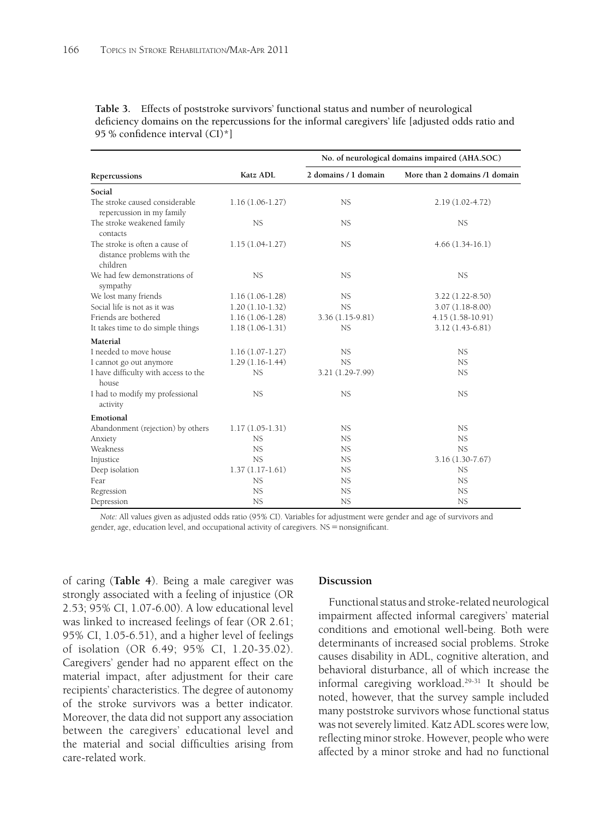|                                                                          |                   | No. of neurological domains impaired (AHA.SOC) |                               |  |
|--------------------------------------------------------------------------|-------------------|------------------------------------------------|-------------------------------|--|
| Repercussions                                                            | Katz ADL          | 2 domains / 1 domain                           | More than 2 domains /1 domain |  |
| Social                                                                   |                   |                                                |                               |  |
| The stroke caused considerable<br>repercussion in my family              | $1.16(1.06-1.27)$ | NS                                             | $2.19(1.02 - 4.72)$           |  |
| The stroke weakened family<br>contacts                                   | <b>NS</b>         | <b>NS</b>                                      | <b>NS</b>                     |  |
| The stroke is often a cause of<br>distance problems with the<br>children | $1.15(1.04-1.27)$ | <b>NS</b>                                      | $4.66(1.34-16.1)$             |  |
| We had few demonstrations of<br>sympathy                                 | <b>NS</b>         | <b>NS</b>                                      | <b>NS</b>                     |  |
| We lost many friends                                                     | $1.16(1.06-1.28)$ | <b>NS</b>                                      | $3.22(1.22 - 8.50)$           |  |
| Social life is not as it was                                             | $1.20(1.10-1.32)$ | <b>NS</b>                                      | $3.07(1.18-8.00)$             |  |
| Friends are bothered                                                     | $1.16(1.06-1.28)$ | $3.36(1.15-9.81)$                              | $4.15(1.58-10.91)$            |  |
| It takes time to do simple things                                        | $1.18(1.06-1.31)$ | <b>NS</b>                                      | 3.12 (1.43-6.81)              |  |
| Material                                                                 |                   |                                                |                               |  |
| I needed to move house                                                   | $1.16(1.07-1.27)$ | <b>NS</b>                                      | <b>NS</b>                     |  |
| I cannot go out anymore                                                  | $1.29(1.16-1.44)$ | <b>NS</b>                                      | <b>NS</b>                     |  |
| I have difficulty with access to the<br>house                            | <b>NS</b>         | 3.21 (1.29-7.99)                               | NS                            |  |
| I had to modify my professional<br>activity                              | <b>NS</b>         | <b>NS</b>                                      | <b>NS</b>                     |  |
| Emotional                                                                |                   |                                                |                               |  |
| Abandonment (rejection) by others                                        | $1.17(1.05-1.31)$ | NS                                             | NS.                           |  |
| Anxiety                                                                  | <b>NS</b>         | <b>NS</b>                                      | <b>NS</b>                     |  |
| Weakness                                                                 | <b>NS</b>         | NS                                             | NS                            |  |
| Injustice                                                                | <b>NS</b>         | NS                                             | $3.16(1.30 - 7.67)$           |  |
| Deep isolation                                                           | $1.37(1.17-1.61)$ | <b>NS</b>                                      | NS                            |  |
| Fear                                                                     | <b>NS</b>         | NS                                             | <b>NS</b>                     |  |
| Regression                                                               | <b>NS</b>         | NS                                             | NS.                           |  |
| Depression                                                               | <b>NS</b>         | <b>NS</b>                                      | <b>NS</b>                     |  |

**Table 3.** Effects of poststroke survivors' functional status and number of neurological deficiency domains on the repercussions for the informal caregivers' life [adjusted odds ratio and 95 % confidence interval  $(Cl)^*$ ]

*Note:* All values given as adjusted odds ratio (95% CI). Variables for adjustment were gender and age of survivors and gender, age, education level, and occupational activity of caregivers.  $NS =$  nonsignificant.

of caring (**Table 4**). Being a male caregiver was strongly associated with a feeling of injustice (OR 2.53; 95% CI, 1.07-6.00). A low educational level was linked to increased feelings of fear (OR 2.61; 95% CI, 1.05-6.51), and a higher level of feelings of isolation (OR 6.49; 95% CI, 1.20-35.02). Caregivers' gender had no apparent effect on the material impact, after adjustment for their care recipients' characteristics. The degree of autonomy of the stroke survivors was a better indicator. Moreover, the data did not support any association between the caregivers' educational level and the material and social difficulties arising from care-related work.

#### **Discussion**

Functional status and stroke-related neurological impairment affected informal caregivers' material conditions and emotional well-being. Both were determinants of increased social problems. Stroke causes disability in ADL, cognitive alteration, and behavioral disturbance, all of which increase the informal caregiving workload.29-31 It should be noted, however, that the survey sample included many poststroke survivors whose functional status was not severely limited. Katz ADL scores were low, reflecting minor stroke. However, people who were affected by a minor stroke and had no functional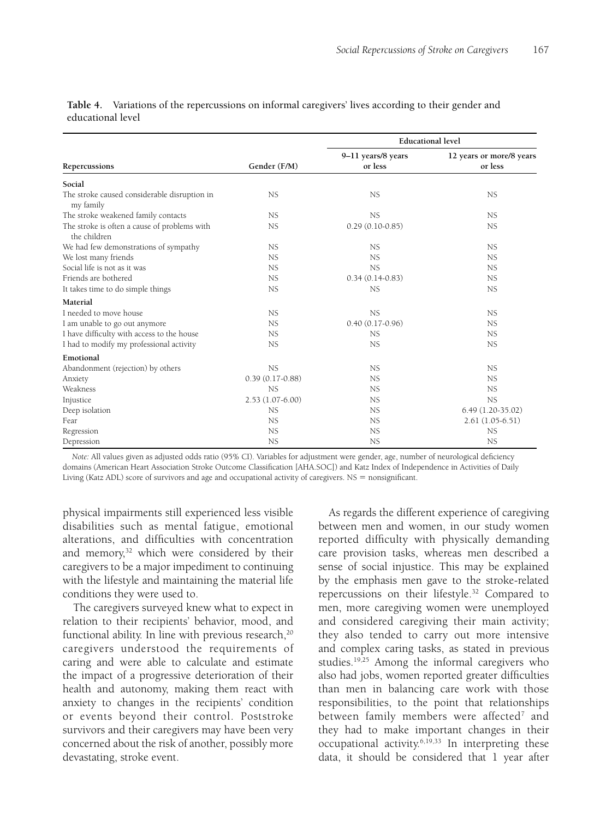|                                                              |                   | <b>Educational level</b>      |                                     |  |
|--------------------------------------------------------------|-------------------|-------------------------------|-------------------------------------|--|
| Repercussions                                                | Gender (F/M)      | 9-11 years/8 years<br>or less | 12 years or more/8 years<br>or less |  |
| Social                                                       |                   |                               |                                     |  |
| The stroke caused considerable disruption in<br>my family    | <b>NS</b>         | <b>NS</b>                     | <b>NS</b>                           |  |
| The stroke weakened family contacts                          | <b>NS</b>         | NS                            | <b>NS</b>                           |  |
| The stroke is often a cause of problems with<br>the children | <b>NS</b>         | $0.29(0.10-0.85)$             | <b>NS</b>                           |  |
| We had few demonstrations of sympathy                        | <b>NS</b>         | <b>NS</b>                     | <b>NS</b>                           |  |
| We lost many friends                                         | <b>NS</b>         | <b>NS</b>                     | <b>NS</b>                           |  |
| Social life is not as it was                                 | <b>NS</b>         | <b>NS</b>                     | <b>NS</b>                           |  |
| Friends are bothered                                         | <b>NS</b>         | $0.34(0.14-0.83)$             | <b>NS</b>                           |  |
| It takes time to do simple things                            | <b>NS</b>         | <b>NS</b>                     | <b>NS</b>                           |  |
| Material                                                     |                   |                               |                                     |  |
| I needed to move house.                                      | <b>NS</b>         | <b>NS</b>                     | <b>NS</b>                           |  |
| I am unable to go out anymore                                | <b>NS</b>         | $0.40(0.17-0.96)$             | <b>NS</b>                           |  |
| I have difficulty with access to the house                   | <b>NS</b>         | <b>NS</b>                     | <b>NS</b>                           |  |
| I had to modify my professional activity                     | <b>NS</b>         | NS                            | <b>NS</b>                           |  |
| Emotional                                                    |                   |                               |                                     |  |
| Abandonment (rejection) by others                            | <b>NS</b>         | NS                            | <b>NS</b>                           |  |
| Anxiety                                                      | $0.39(0.17-0.88)$ | <b>NS</b>                     | <b>NS</b>                           |  |
| Weakness                                                     | <b>NS</b>         | NS.                           | <b>NS</b>                           |  |
| Injustice                                                    | $2.53(1.07-6.00)$ | <b>NS</b>                     | <b>NS</b>                           |  |
| Deep isolation                                               | <b>NS</b>         | <b>NS</b>                     | $6.49(1.20-35.02)$                  |  |
| Fear                                                         | <b>NS</b>         | <b>NS</b>                     | $2.61(1.05-6.51)$                   |  |
| Regression                                                   | <b>NS</b>         | <b>NS</b>                     | <b>NS</b>                           |  |
| Depression                                                   | <b>NS</b>         | <b>NS</b>                     | <b>NS</b>                           |  |

**Table 4.** Variations of the repercussions on informal caregivers' lives according to their gender and educational level

*Note:* All values given as adjusted odds ratio (95% CI). Variables for adjustment were gender, age, number of neurological deficiency domains (American Heart Association Stroke Outcome Classification [AHA.SOC]) and Katz Index of Independence in Activities of Daily Living (Katz ADL) score of survivors and age and occupational activity of caregivers.  $NS =$  nonsignificant.

physical impairments still experienced less visible disabilities such as mental fatigue, emotional alterations, and difficulties with concentration and memory,<sup>32</sup> which were considered by their caregivers to be a major impediment to continuing with the lifestyle and maintaining the material life conditions they were used to.

The caregivers surveyed knew what to expect in relation to their recipients' behavior, mood, and functional ability. In line with previous research, $20$ caregivers understood the requirements of caring and were able to calculate and estimate the impact of a progressive deterioration of their health and autonomy, making them react with anxiety to changes in the recipients' condition or events beyond their control. Poststroke survivors and their caregivers may have been very concerned about the risk of another, possibly more devastating, stroke event.

As regards the different experience of caregiving between men and women, in our study women reported difficulty with physically demanding care provision tasks, whereas men described a sense of social injustice. This may be explained by the emphasis men gave to the stroke-related repercussions on their lifestyle.32 Compared to men, more caregiving women were unemployed and considered caregiving their main activity; they also tended to carry out more intensive and complex caring tasks, as stated in previous studies.19,25 Among the informal caregivers who also had jobs, women reported greater difficulties than men in balancing care work with those responsibilities, to the point that relationships between family members were affected<sup>7</sup> and they had to make important changes in their occupational activity.6,19,33 In interpreting these data, it should be considered that 1 year after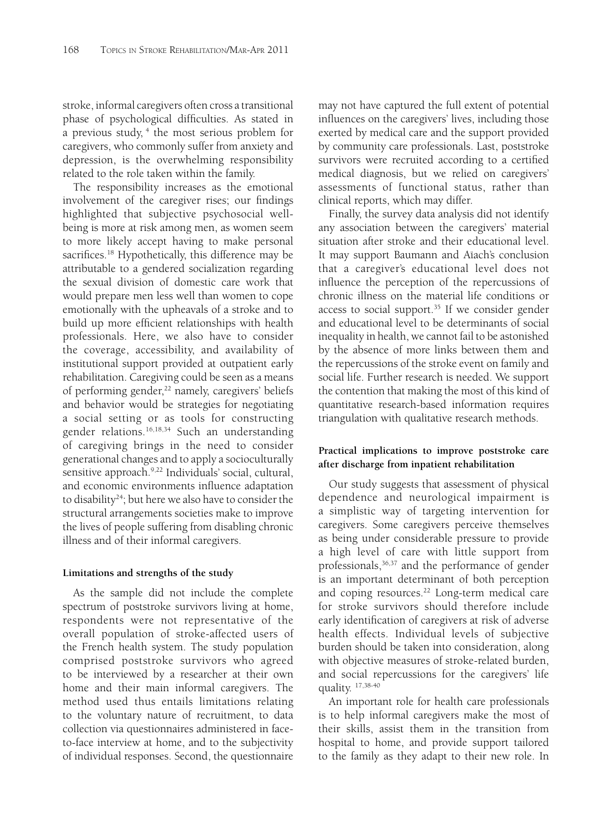stroke, informal caregivers often cross a transitional phase of psychological difficulties. As stated in a previous study, <sup>4</sup> the most serious problem for caregivers, who commonly suffer from anxiety and depression, is the overwhelming responsibility related to the role taken within the family.

The responsibility increases as the emotional involvement of the caregiver rises; our findings highlighted that subjective psychosocial wellbeing is more at risk among men, as women seem to more likely accept having to make personal sacrifices.<sup>18</sup> Hypothetically, this difference may be attributable to a gendered socialization regarding the sexual division of domestic care work that would prepare men less well than women to cope emotionally with the upheavals of a stroke and to build up more efficient relationships with health professionals. Here, we also have to consider the coverage, accessibility, and availability of institutional support provided at outpatient early rehabilitation. Caregiving could be seen as a means of performing gender,<sup>22</sup> namely, caregivers' beliefs and behavior would be strategies for negotiating a social setting or as tools for constructing gender relations.16,18,34 Such an understanding of caregiving brings in the need to consider generational changes and to apply a socioculturally sensitive approach.<sup>9,22</sup> Individuals' social, cultural, and economic environments influence adaptation to disability<sup>24</sup>; but here we also have to consider the structural arrangements societies make to improve the lives of people suffering from disabling chronic illness and of their informal caregivers.

# **Limitations and strengths of the study**

As the sample did not include the complete spectrum of poststroke survivors living at home, respondents were not representative of the overall population of stroke-affected users of the French health system. The study population comprised poststroke survivors who agreed to be interviewed by a researcher at their own home and their main informal caregivers. The method used thus entails limitations relating to the voluntary nature of recruitment, to data collection via questionnaires administered in faceto-face interview at home, and to the subjectivity of individual responses. Second, the questionnaire

may not have captured the full extent of potential influences on the caregivers' lives, including those exerted by medical care and the support provided by community care professionals. Last, poststroke survivors were recruited according to a certified medical diagnosis, but we relied on caregivers' assessments of functional status, rather than clinical reports, which may differ.

Finally, the survey data analysis did not identify any association between the caregivers' material situation after stroke and their educational level. It may support Baumann and Aïach's conclusion that a caregiver's educational level does not influence the perception of the repercussions of chronic illness on the material life conditions or access to social support.<sup>35</sup> If we consider gender and educational level to be determinants of social inequality in health, we cannot fail to be astonished by the absence of more links between them and the repercussions of the stroke event on family and social life. Further research is needed. We support the contention that making the most of this kind of quantitative research-based information requires triangulation with qualitative research methods.

# **Practical implications to improve poststroke care after discharge from inpatient rehabilitation**

Our study suggests that assessment of physical dependence and neurological impairment is a simplistic way of targeting intervention for caregivers. Some caregivers perceive themselves as being under considerable pressure to provide a high level of care with little support from professionals,<sup>36,37</sup> and the performance of gender is an important determinant of both perception and coping resources.22 Long-term medical care for stroke survivors should therefore include early identification of caregivers at risk of adverse health effects. Individual levels of subjective burden should be taken into consideration, along with objective measures of stroke-related burden, and social repercussions for the caregivers' life quality. 17,38-40

An important role for health care professionals is to help informal caregivers make the most of their skills, assist them in the transition from hospital to home, and provide support tailored to the family as they adapt to their new role. In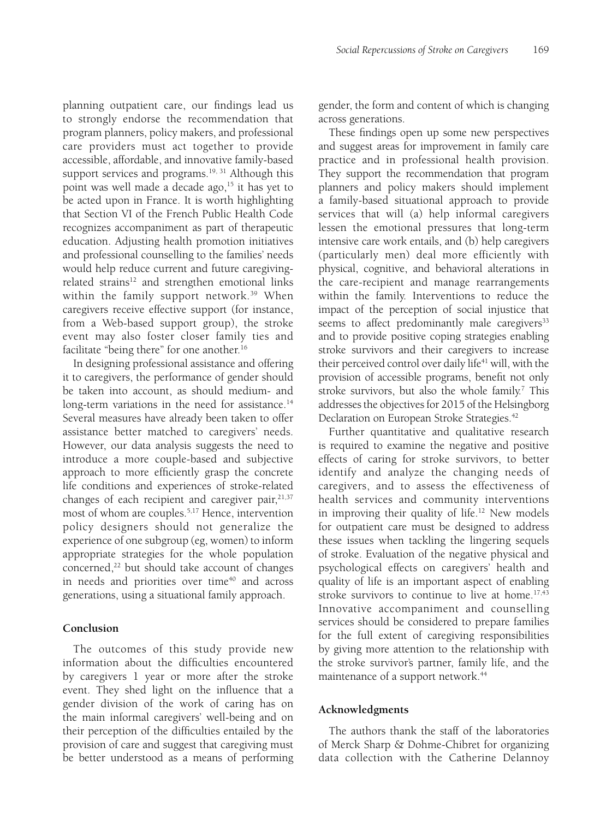planning outpatient care, our findings lead us to strongly endorse the recommendation that program planners, policy makers, and professional care providers must act together to provide accessible, affordable, and innovative family-based support services and programs.<sup>19, 31</sup> Although this point was well made a decade ago,<sup>15</sup> it has yet to be acted upon in France. It is worth highlighting that Section VI of the French Public Health Code recognizes accompaniment as part of therapeutic education. Adjusting health promotion initiatives and professional counselling to the families' needs would help reduce current and future caregivingrelated strains<sup>12</sup> and strengthen emotional links within the family support network.<sup>39</sup> When caregivers receive effective support (for instance, from a Web-based support group), the stroke event may also foster closer family ties and facilitate "being there" for one another.<sup>16</sup>

In designing professional assistance and offering it to caregivers, the performance of gender should be taken into account, as should medium- and long-term variations in the need for assistance.<sup>14</sup> Several measures have already been taken to offer assistance better matched to caregivers' needs. However, our data analysis suggests the need to introduce a more couple-based and subjective approach to more efficiently grasp the concrete life conditions and experiences of stroke-related changes of each recipient and caregiver pair, $21,37$ most of whom are couples.5,17 Hence, intervention policy designers should not generalize the experience of one subgroup (eg, women) to inform appropriate strategies for the whole population concerned,<sup>22</sup> but should take account of changes in needs and priorities over time $40$  and across generations, using a situational family approach.

# **Conclusion**

The outcomes of this study provide new information about the difficulties encountered by caregivers 1 year or more after the stroke event. They shed light on the influence that a gender division of the work of caring has on the main informal caregivers' well-being and on their perception of the difficulties entailed by the provision of care and suggest that caregiving must be better understood as a means of performing gender, the form and content of which is changing across generations.

These findings open up some new perspectives and suggest areas for improvement in family care practice and in professional health provision. They support the recommendation that program planners and policy makers should implement a family-based situational approach to provide services that will (a) help informal caregivers lessen the emotional pressures that long-term intensive care work entails, and (b) help caregivers (particularly men) deal more efficiently with physical, cognitive, and behavioral alterations in the care-recipient and manage rearrangements within the family. Interventions to reduce the impact of the perception of social injustice that seems to affect predominantly male caregivers<sup>33</sup> and to provide positive coping strategies enabling stroke survivors and their caregivers to increase their perceived control over daily life<sup>41</sup> will, with the provision of accessible programs, benefit not only stroke survivors, but also the whole family.<sup>7</sup> This addresses the objectives for 2015 of the Helsingborg Declaration on European Stroke Strategies.<sup>42</sup>

Further quantitative and qualitative research is required to examine the negative and positive effects of caring for stroke survivors, to better identify and analyze the changing needs of caregivers, and to assess the effectiveness of health services and community interventions in improving their quality of life.<sup>12</sup> New models for outpatient care must be designed to address these issues when tackling the lingering sequels of stroke. Evaluation of the negative physical and psychological effects on caregivers' health and quality of life is an important aspect of enabling stroke survivors to continue to live at home.<sup>17,43</sup> Innovative accompaniment and counselling services should be considered to prepare families for the full extent of caregiving responsibilities by giving more attention to the relationship with the stroke survivor's partner, family life, and the maintenance of a support network.<sup>44</sup>

# **Acknowledgments**

The authors thank the staff of the laboratories of Merck Sharp & Dohme-Chibret for organizing data collection with the Catherine Delannoy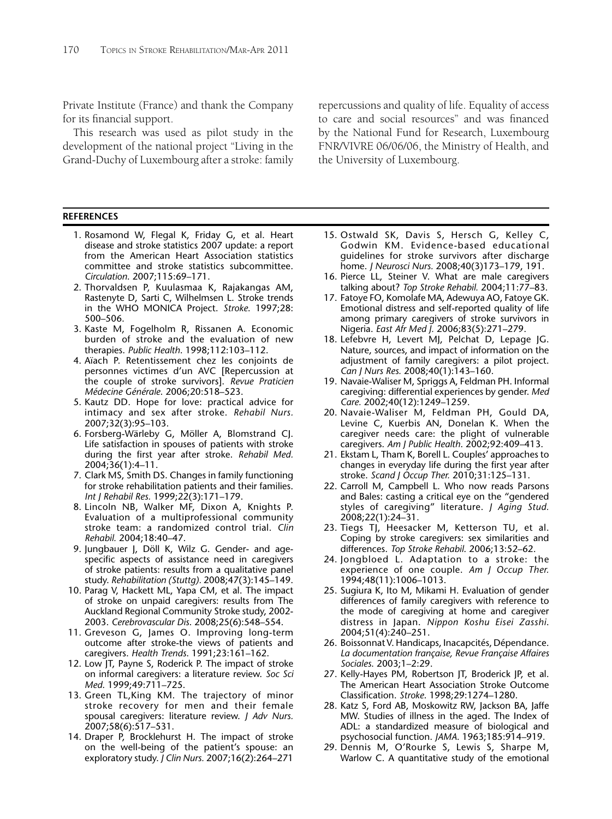Private Institute (France) and thank the Company for its financial support.

This research was used as pilot study in the development of the national project "Living in the Grand-Duchy of Luxembourg after a stroke: family

#### **REFERENCES**

- 1. Rosamond W, Flegal K, Friday G, et al. Heart disease and stroke statistics 2007 update: a report from the American Heart Association statistics committee and stroke statistics subcommittee. *Circulation*. 2007;115:69–171.
- 2. Thorvaldsen P, Kuulasmaa K, Rajakangas AM, Rastenyte D, Sarti C, Wilhelmsen L. Stroke trends in the WHO MONICA Project. *Stroke*. 1997;28: 500–506.
- 3. Kaste M, Fogelholm R, Rissanen A. Economic burden of stroke and the evaluation of new therapies. *Public Health*. 1998;112:103–112.
- 4. Aïach P. Retentissement chez les conjoints de personnes victimes d'un AVC [Repercussion at the couple of stroke survivors]. *Revue Praticien Médecine Générale*. 2006;20:518–523.
- 5. Kautz DD. Hope for love: practical advice for intimacy and sex after stroke. *Rehabil Nurs.* 2007;32(3):95–103.
- 6. Forsberg-Wärleby G, Möller A, Blomstrand CJ. Life satisfaction in spouses of patients with stroke during the first year after stroke. Rehabil Med. 2004;36(1):4–11.
- 7. Clark MS, Smith DS. Changes in family functioning for stroke rehabilitation patients and their families. *Int J Rehabil Res.* 1999;22(3):171–179.
- 8. Lincoln NB, Walker MF, Dixon A, Knights P. Evaluation of a multiprofessional community stroke team: a randomized control trial. *Clin Rehabil.* 2004;18:40–47.
- 9. Jungbauer J, Döll K, Wilz G. Gender- and agespecific aspects of assistance need in caregivers of stroke patients: results from a qualitative panel study. *Rehabilitation (Stuttg).* 2008;47(3):145–149.
- 10. Parag V, Hackett ML, Yapa CM, et al. The impact of stroke on unpaid caregivers: results from The Auckland Regional Community Stroke study, 2002- 2003. *Cerebrovascular Dis*. 2008;25(6):548–554.
- 11. Greveson G, James O. Improving long-term outcome after stroke-the views of patients and caregivers. *Health Trends*. 1991;23:161–162.
- 12. Low JT, Payne S, Roderick P. The impact of stroke on informal caregivers: a literature review. *Soc Sci Med*. 1999;49:711–725.
- 13. Green TL,King KM. The trajectory of minor stroke recovery for men and their female spousal caregivers: literature review. *J Adv Nurs.* 2007;58(6):517–531.
- 14. Draper P, Brocklehurst H. The impact of stroke on the well-being of the patient's spouse: an exploratory study. *J Clin Nurs.* 2007;16(2):264–271

repercussions and quality of life. Equality of access to care and social resources" and was financed by the National Fund for Research, Luxembourg FNR/VIVRE 06/06/06, the Ministry of Health, and the University of Luxembourg.

- 15. Ostwald SK, Davis S, Hersch G, Kelley C, Godwin KM. Evidence-based educational guidelines for stroke survivors after discharge home. *J Neurosci Nurs.* 2008;40(3)173–179, 191.
- 16. Pierce LL, Steiner V. What are male caregivers talking about? *Top Stroke Rehabil.* 2004;11:77–83.
- 17. Fatoye FO, Komolafe MA, Adewuya AO, Fatoye GK. Emotional distress and self-reported quality of life among primary caregivers of stroke survivors in Nigeria. *East Afr Med J.* 2006;83(5):271–279.
- 18. Lefebvre H, Levert MJ, Pelchat D, Lepage JG. Nature, sources, and impact of information on the adjustment of family caregivers: a pilot project. *Can J Nurs Res.* 2008;40(1):143–160.
- 19. Navaie-Waliser M, Spriggs A, Feldman PH. Informal caregiving: differential experiences by gender. *Med Care.* 2002;40(12):1249–1259.
- 20. Navaie-Waliser M, Feldman PH, Gould DA, Levine C, Kuerbis AN, Donelan K. When the caregiver needs care: the plight of vulnerable caregivers. *Am J Public Health*. 2002;92:409–413.
- 21. Ekstam L, Tham K, Borell L. Couples' approaches to changes in everyday life during the first year after stroke. *Scand J Occup Ther.* 2010;31:125–131.
- 22. Carroll M, Campbell L. Who now reads Parsons and Bales: casting a critical eye on the "gendered styles of caregiving" literature. *J Aging Stud.* 2008;22(1):24–31.
- 23. Tiegs TJ, Heesacker M, Ketterson TU, et al. Coping by stroke caregivers: sex similarities and differences. *Top Stroke Rehabil*. 2006;13:52–62.
- 24. Jongbloed L. Adaptation to a stroke: the experience of one couple. *Am J Occup Ther.* 1994;48(11):1006–1013.
- 25. Sugiura K, Ito M, Mikami H. Evaluation of gender differences of family caregivers with reference to the mode of caregiving at home and caregiver distress in Japan. *Nippon Koshu Eisei Zasshi*. 2004;51(4):240–251.
- 26. Boissonnat V. Handicaps, Inacapcités, Dépendance. *La documentation française, Revue Française Affaires Sociales*. 2003;1–2:29.
- 27. Kelly-Hayes PM, Robertson JT, Broderick JP, et al. The American Heart Association Stroke Outcome Classifi cation. *Stroke*. 1998;29:1274–1280.
- 28. Katz S, Ford AB, Moskowitz RW, Jackson BA, Jaffe MW. Studies of illness in the aged. The Index of ADL: a standardized measure of biological and psychosocial function. *JAMA*. 1963;185:914–919.
- 29. Dennis M, O'Rourke S, Lewis S, Sharpe M, Warlow C. A quantitative study of the emotional